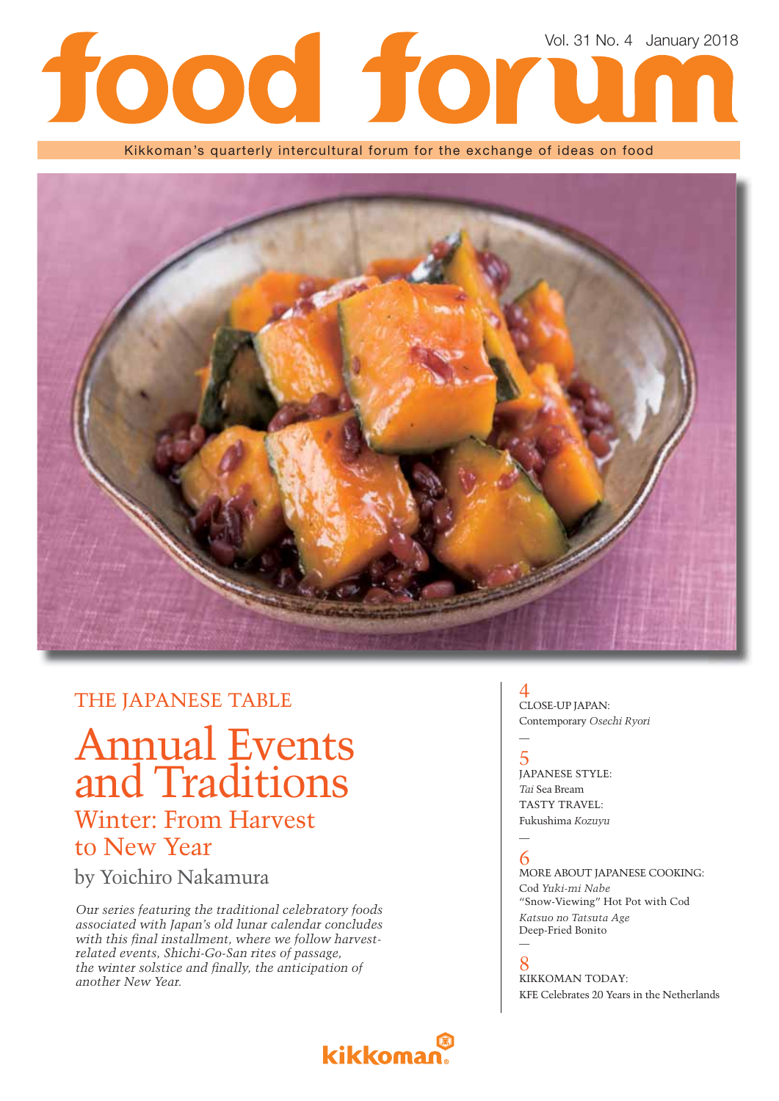# Vol. 31 No. 4 January 2018

Kikkoman's quarterly intercultural forum for the exchange of ideas on food



## THE JAPANESE TABLE

Annual Events and Traditions Winter: From Harvest to New Year

by Yoichiro Nakamura

*Our series featuring the traditional celebratory foods associated with Japan's old lunar calendar concludes*  with this final installment, where we follow harvest*related events, Shichi-Go-San rites of passage,*  the winter solstice and finally, the anticipation of *another New Year.*

# **kikkoman**

### 4 CLOSE-UP JAPAN: Contemporary *Osechi Ryori*

5 JAPANESE STYLE: *Tai* Sea Bream TASTY TRAVEL: Fukushima *Kozuyu*

#### — 6

—

—

MORE ABOUT JAPANESE COOKING: Cod *Yuki-mi Nabe* "Snow-Viewing" Hot Pot with Cod *Katsuo no Tatsuta Age*  Deep-Fried Bonito

8 KIKKOMAN TODAY: KFE Celebrates 20 Years in the Netherlands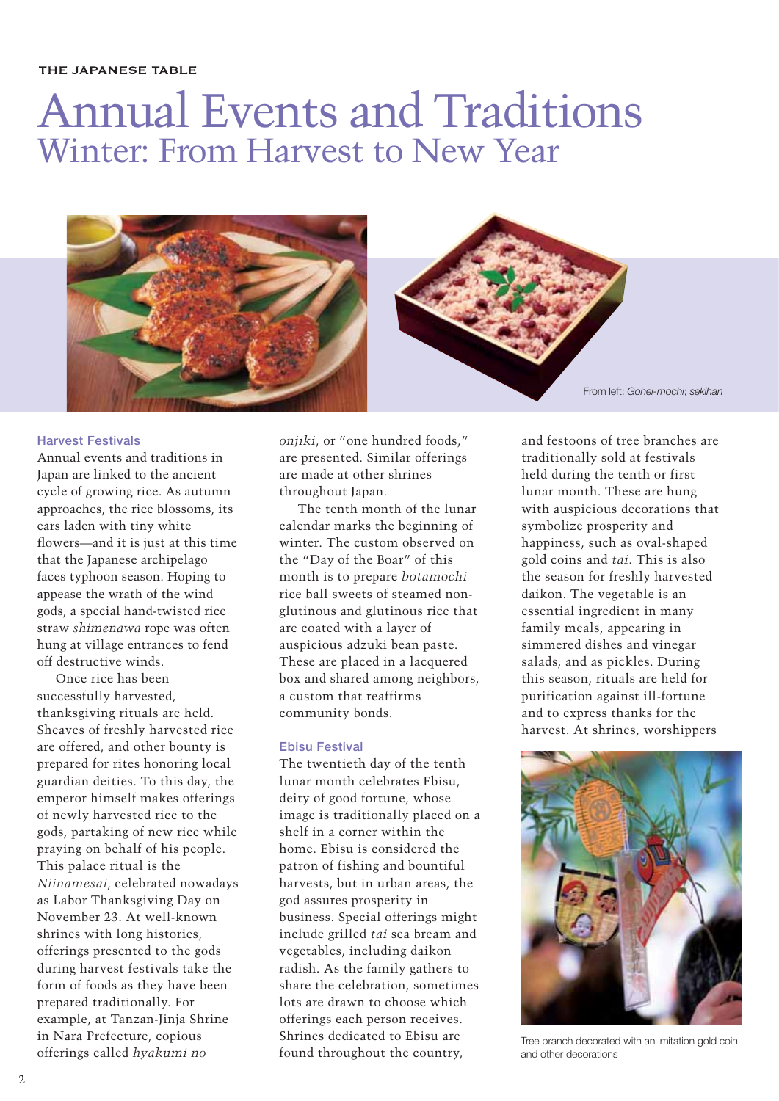#### THE JAPANESE TABLE

# Annual Events and Traditions Winter: From Harvest to New Year





From left: *Gohei-mochi*; *sekihan*

#### **Harvest Festivals**

Annual events and traditions in Japan are linked to the ancient cycle of growing rice. As autumn approaches, the rice blossoms, its ears laden with tiny white flowers—and it is just at this time that the Japanese archipelago faces typhoon season. Hoping to appease the wrath of the wind gods, a special hand-twisted rice straw *shimenawa* rope was often hung at village entrances to fend off destructive winds.

Once rice has been successfully harvested, thanksgiving rituals are held. Sheaves of freshly harvested rice are offered, and other bounty is prepared for rites honoring local guardian deities. To this day, the emperor himself makes offerings of newly harvested rice to the gods, partaking of new rice while praying on behalf of his people. This palace ritual is the *Niinamesai*, celebrated nowadays as Labor Thanksgiving Day on November 23. At well-known shrines with long histories, offerings presented to the gods during harvest festivals take the form of foods as they have been prepared traditionally. For example, at Tanzan-Jinja Shrine in Nara Prefecture, copious offerings called *hyakumi no* 

*onjiki*, or "one hundred foods," are presented. Similar offerings are made at other shrines throughout Japan.

The tenth month of the lunar calendar marks the beginning of winter. The custom observed on the "Day of the Boar" of this month is to prepare *botamochi* rice ball sweets of steamed nonglutinous and glutinous rice that are coated with a layer of auspicious adzuki bean paste. These are placed in a lacquered box and shared among neighbors, a custom that reaffirms community bonds.

#### **Ebisu Festival**

The twentieth day of the tenth lunar month celebrates Ebisu, deity of good fortune, whose image is traditionally placed on a shelf in a corner within the home. Ebisu is considered the patron of fishing and bountiful harvests, but in urban areas, the god assures prosperity in business. Special offerings might include grilled *tai* sea bream and vegetables, including daikon radish. As the family gathers to share the celebration, sometimes lots are drawn to choose which offerings each person receives. Shrines dedicated to Ebisu are found throughout the country,

and festoons of tree branches are traditionally sold at festivals held during the tenth or first lunar month. These are hung with auspicious decorations that symbolize prosperity and happiness, such as oval-shaped gold coins and *tai*. This is also the season for freshly harvested daikon. The vegetable is an essential ingredient in many family meals, appearing in simmered dishes and vinegar salads, and as pickles. During this season, rituals are held for purification against ill-fortune and to express thanks for the harvest. At shrines, worshippers



Tree branch decorated with an imitation gold coin and other decorations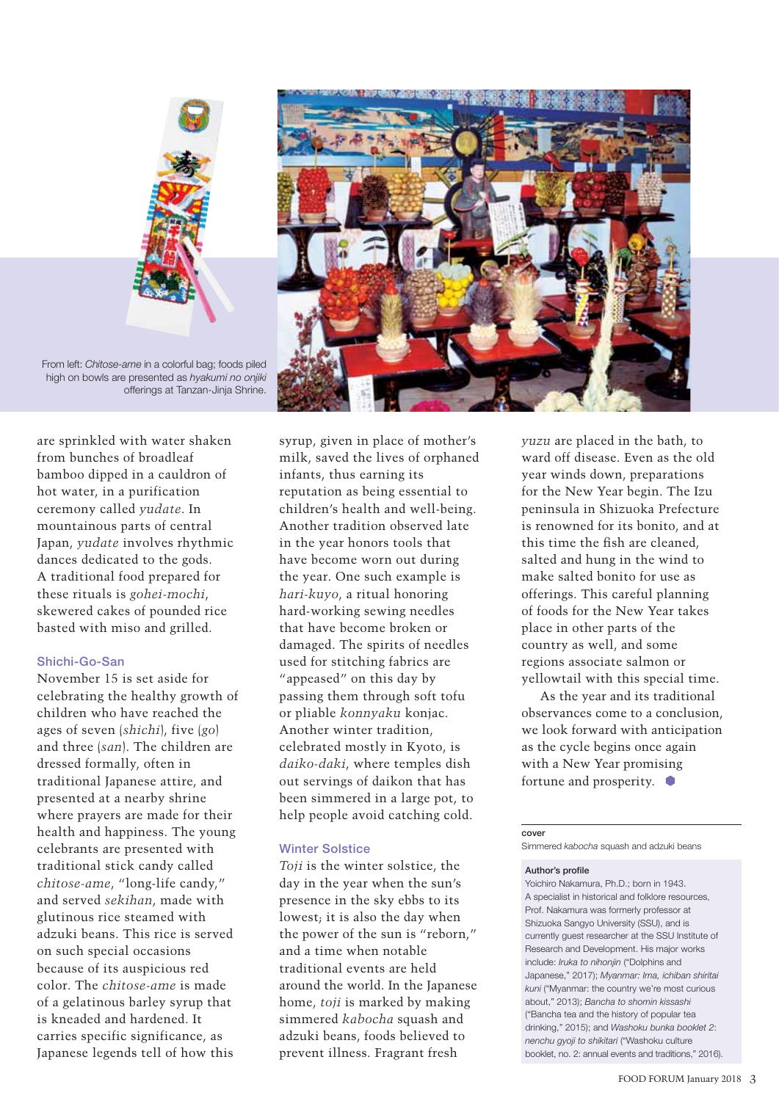

From left: *Chitose-ame* in a colorful bag; foods piled high on bowls are presented as *hyakumi no onjiki* offerings at Tanzan-Jinja Shrine.

are sprinkled with water shaken from bunches of broadleaf bamboo dipped in a cauldron of hot water, in a purification ceremony called *yudate*. In mountainous parts of central Japan, *yudate* involves rhythmic dances dedicated to the gods. A traditional food prepared for these rituals is *gohei-mochi*, skewered cakes of pounded rice basted with miso and grilled.

#### **Shichi-Go-San**

November 15 is set aside for celebrating the healthy growth of children who have reached the ages of seven (*shichi*), five (*go*) and three (*san*). The children are dressed formally, often in traditional Japanese attire, and presented at a nearby shrine where prayers are made for their health and happiness. The young celebrants are presented with traditional stick candy called *chitose-ame*, "long-life candy," and served *sekihan*, made with glutinous rice steamed with adzuki beans. This rice is served on such special occasions because of its auspicious red color. The *chitose-ame* is made of a gelatinous barley syrup that is kneaded and hardened. It carries specific significance, as Japanese legends tell of how this



syrup, given in place of mother's milk, saved the lives of orphaned infants, thus earning its reputation as being essential to children's health and well-being. Another tradition observed late in the year honors tools that have become worn out during the year. One such example is *hari-kuyo*, a ritual honoring hard-working sewing needles that have become broken or damaged. The spirits of needles used for stitching fabrics are "appeased" on this day by passing them through soft tofu or pliable *konnyaku* konjac. Another winter tradition, celebrated mostly in Kyoto, is *daiko-daki*, where temples dish out servings of daikon that has been simmered in a large pot, to help people avoid catching cold.

#### **Winter Solstice**

*Toji* is the winter solstice, the day in the year when the sun's presence in the sky ebbs to its lowest; it is also the day when the power of the sun is "reborn," and a time when notable traditional events are held around the world. In the Japanese home, *toji* is marked by making simmered *kabocha* squash and adzuki beans, foods believed to prevent illness. Fragrant fresh

*yuzu* are placed in the bath, to ward off disease. Even as the old year winds down, preparations for the New Year begin. The Izu peninsula in Shizuoka Prefecture is renowned for its bonito, and at this time the fish are cleaned, salted and hung in the wind to make salted bonito for use as offerings. This careful planning of foods for the New Year takes place in other parts of the country as well, and some regions associate salmon or yellowtail with this special time.

As the year and its traditional observances come to a conclusion, we look forward with anticipation as the cycle begins once again with a New Year promising fortune and prosperity.  $\bullet$ 

#### **cover**

Simmered *kabocha* squash and adzuki beans

#### **Author's profile**

Yoichiro Nakamura, Ph.D.; born in 1943. A specialist in historical and folklore resources, Prof. Nakamura was formerly professor at Shizuoka Sangyo University (SSU), and is currently guest researcher at the SSU Institute of Research and Development. His major works include: *Iruka to nihonjin* ("Dolphins and Japanese," 2017); *Myanmar: Ima, ichiban shiritai kuni* ("Myanmar: the country we're most curious about," 2013); *Bancha to shomin kissashi* ("Bancha tea and the history of popular tea drinking," 2015); and *Washoku bunka booklet 2*: *nenchu gyoji to shikitari* ("Washoku culture booklet, no. 2: annual events and traditions," 2016).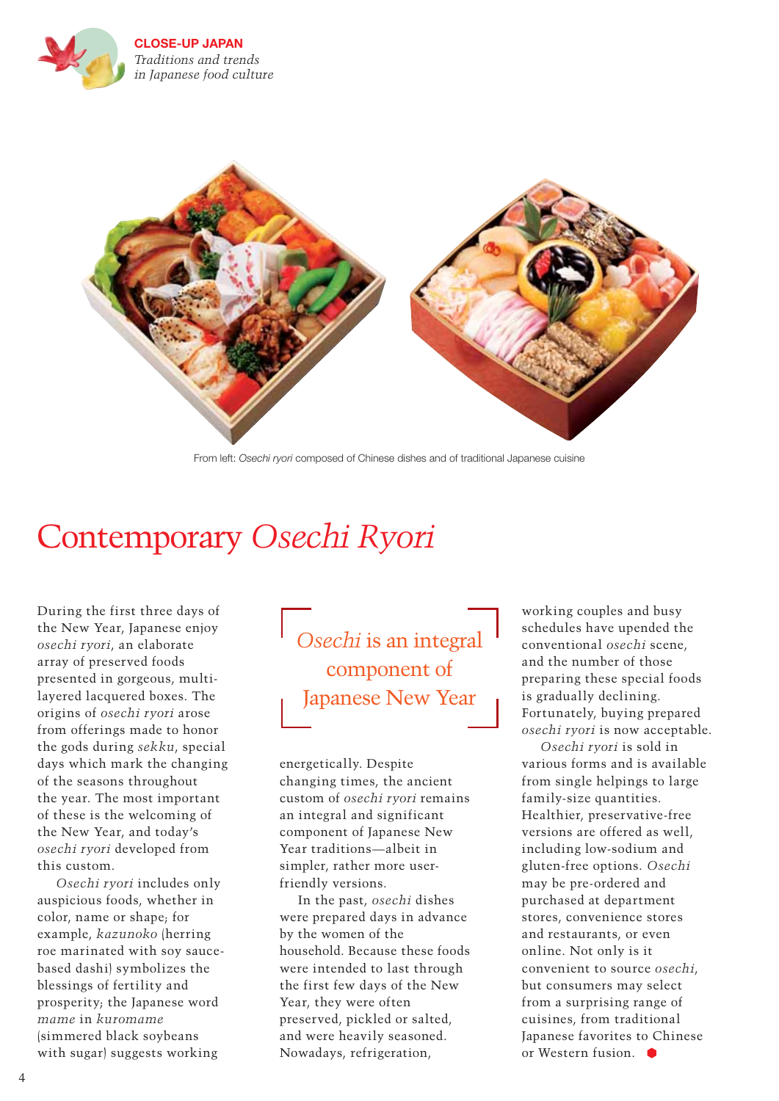



From left: *Osechi ryori* composed of Chinese dishes and of traditional Japanese cuisine

## Contemporary *Osechi Ryori*

During the first three days of the New Year, Japanese enjoy *osechi ryori*, an elaborate array of preserved foods presented in gorgeous, multilayered lacquered boxes. The origins of *osechi ryori* arose from offerings made to honor the gods during *sekku*, special days which mark the changing of the seasons throughout the year. The most important of these is the welcoming of the New Year, and today's *osechi ryori* developed from this custom.

*Osechi ryori* includes only auspicious foods, whether in color, name or shape; for example, *kazunoko* (herring roe marinated with soy saucebased dashi) symbolizes the blessings of fertility and prosperity; the Japanese word *mame* in *kuromame* (simmered black soybeans with sugar) suggests working

*Osechi* is an integral component of Japanese New Year

energetically. Despite changing times, the ancient custom of *osechi ryori* remains an integral and significant component of Japanese New Year traditions—albeit in simpler, rather more userfriendly versions.

In the past, *osechi* dishes were prepared days in advance by the women of the household. Because these foods were intended to last through the first few days of the New Year, they were often preserved, pickled or salted, and were heavily seasoned. Nowadays, refrigeration,

working couples and busy schedules have upended the conventional *osechi* scene, and the number of those preparing these special foods is gradually declining. Fortunately, buying prepared *osechi ryori* is now acceptable.

*Osechi ryori* is sold in various forms and is available from single helpings to large family-size quantities. Healthier, preservative-free versions are offered as well, including low-sodium and gluten-free options. *Osechi*  may be pre-ordered and purchased at department stores, convenience stores and restaurants, or even online. Not only is it convenient to source *osechi*, but consumers may select from a surprising range of cuisines, from traditional Japanese favorites to Chinese or Western fusion.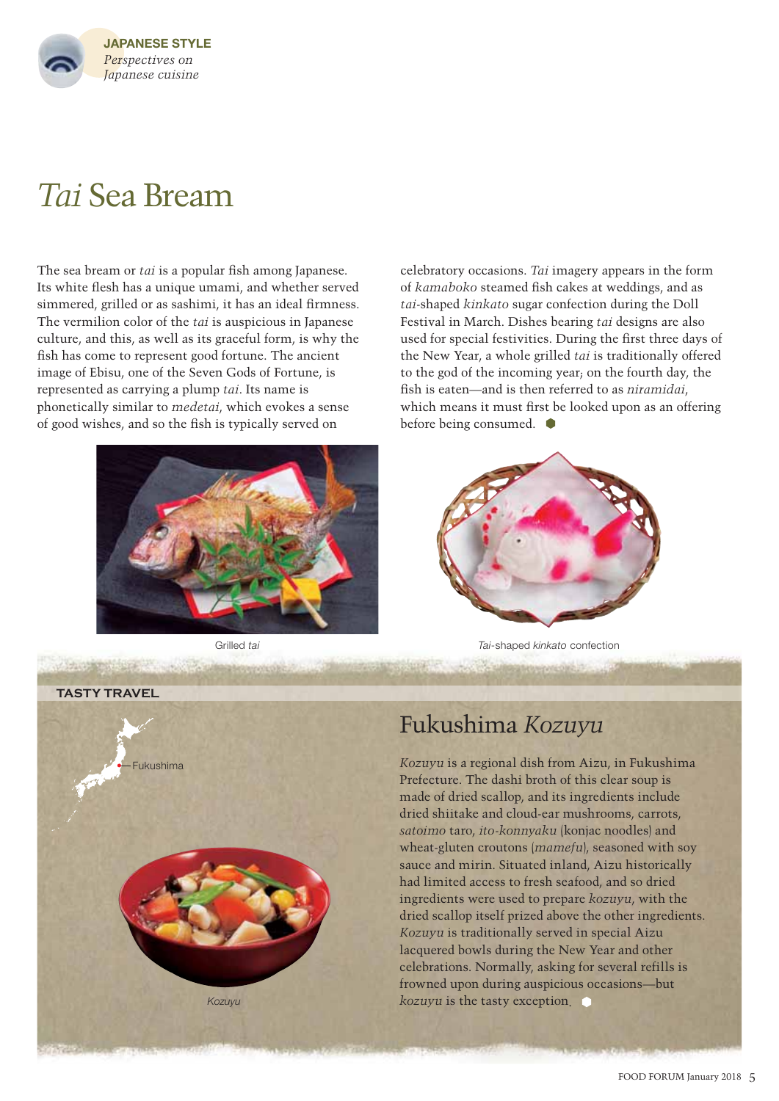

# *Tai* Sea Bream

The sea bream or *tai* is a popular fish among Japanese. Its white flesh has a unique umami, and whether served simmered, grilled or as sashimi, it has an ideal firmness. The vermilion color of the *tai* is auspicious in Japanese culture, and this, as well as its graceful form, is why the fish has come to represent good fortune. The ancient image of Ebisu, one of the Seven Gods of Fortune, is represented as carrying a plump *tai*. Its name is phonetically similar to *medetai*, which evokes a sense of good wishes, and so the fish is typically served on



celebratory occasions. *Tai* imagery appears in the form of *kamaboko* steamed fish cakes at weddings, and as *tai*-shaped *kinkato* sugar confection during the Doll Festival in March. Dishes bearing *tai* designs are also used for special festivities. During the first three days of the New Year, a whole grilled *tai* is traditionally offered to the god of the incoming year; on the fourth day, the fish is eaten—and is then referred to as *niramidai*, which means it must first be looked upon as an offering before being consumed.



Grilled *tai Tai*-shaped *kinkato* confection

**TASTY TRAVEL**



## Fukushima *Kozuyu*

*Kozuyu* is a regional dish from Aizu, in Fukushima Prefecture. The dashi broth of this clear soup is made of dried scallop, and its ingredients include dried shiitake and cloud-ear mushrooms, carrots, *satoimo* taro, *ito-konnyaku* (konjac noodles) and wheat-gluten croutons (*mamefu*), seasoned with soy sauce and mirin. Situated inland, Aizu historically had limited access to fresh seafood, and so dried ingredients were used to prepare *kozuyu*, with the dried scallop itself prized above the other ingredients. *Kozuyu* is traditionally served in special Aizu lacquered bowls during the New Year and other celebrations. Normally, asking for several refills is frowned upon during auspicious occasions—but *kozuyu* is the tasty exception.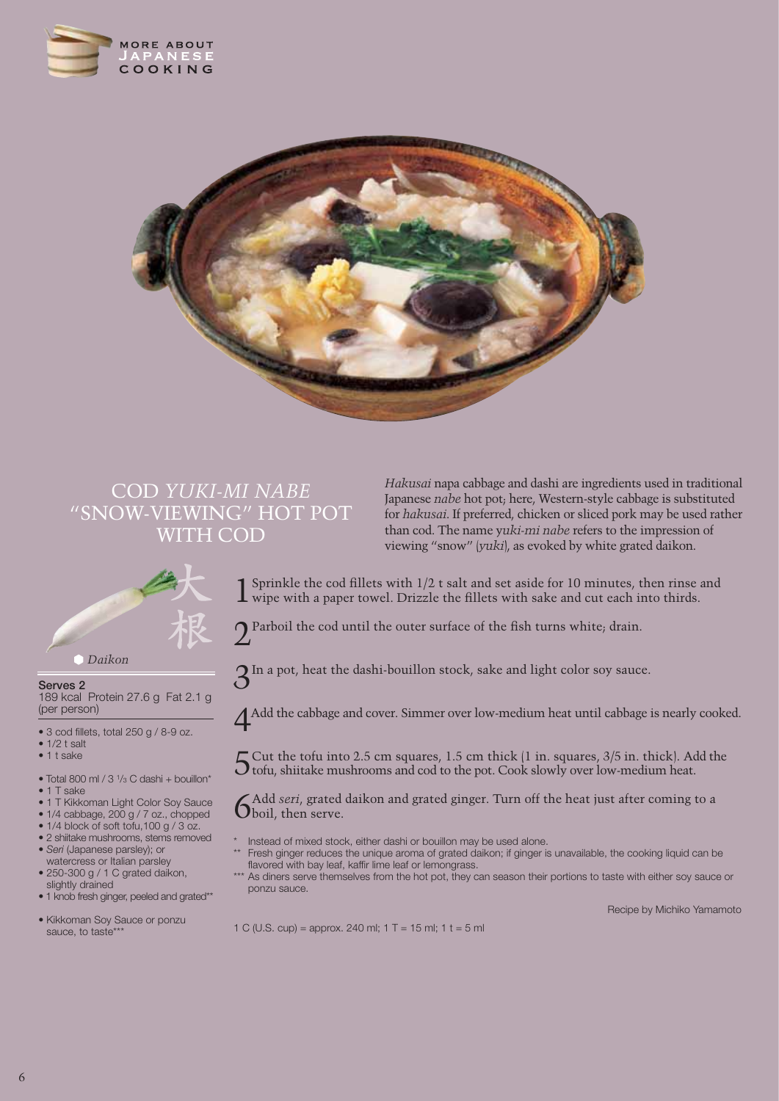



## COD *YUKI-MI NABE* "SNOW-VIEWING" HOT POT WITH COD



**Serves 2** 189 kcal Protein 27.6 g Fat 2.1 g (per person)

• 3 cod fillets, total 250 g / 8-9 oz.

- $\bullet$  1/2 t salt
- 1 t sake
- Total 800 ml /  $3\frac{1}{3}$  C dashi + bouillon\*
- 1 T sake
- 1 T Kikkoman Light Color Soy Sauce
- 1/4 cabbage, 200 g / 7 oz., chopped
- 1/4 block of soft tofu, 100 g / 3 oz.
- 2 shiitake mushrooms, stems removed • *Seri* (Japanese parsley); or
- watercress or Italian parsley • 250-300 g / 1 C grated daikon,
- slightly drained
- 1 knob fresh ginger, peeled and grated\*\*
- Kikkoman Soy Sauce or ponzu sauce, to taste\*\*\*

*Hakusai* napa cabbage and dashi are ingredients used in traditional Japanese *nabe* hot pot; here, Western-style cabbage is substituted for *hakusai*. If preferred, chicken or sliced pork may be used rather than cod. The name y*uki-mi nabe* refers to the impression of viewing "snow" (*yuki*), as evoked by white grated daikon.

Sprinkle the cod fillets with  $1/2$  t salt and set aside for 10 minutes, then rinse and  $\perp$  wipe with a paper towel. Drizzle the fillets with sake and cut each into thirds.

 $\bigcap$  Parboil the cod until the outer surface of the fish turns white; drain.

3In a pot, heat the dashi-bouillon stock, sake and light color soy sauce.

4Add the cabbage and cover. Simmer over low-medium heat until cabbage is nearly cooked.

5Cut the tofu into 2.5 cm squares, 1.5 cm thick (1 in. squares, 3/5 in. thick). Add the tofu, shiitake mushrooms and cod to the pot. Cook slowly over low-medium heat.

6Add *seri*, grated daikon and grated ginger. Turn off the heat just after coming to a boil, then serve.

- Instead of mixed stock, either dashi or bouillon may be used alone.
- Fresh ginger reduces the unique aroma of grated daikon; if ginger is unavailable, the cooking liquid can be flavored with bay leaf, kaffir lime leaf or lemongrass.
- \*\*\* As diners serve themselves from the hot pot, they can season their portions to taste with either soy sauce or ponzu sauce.

Recipe by Michiko Yamamoto

1 C (U.S. cup) = approx. 240 ml; 1 T = 15 ml; 1 t = 5 ml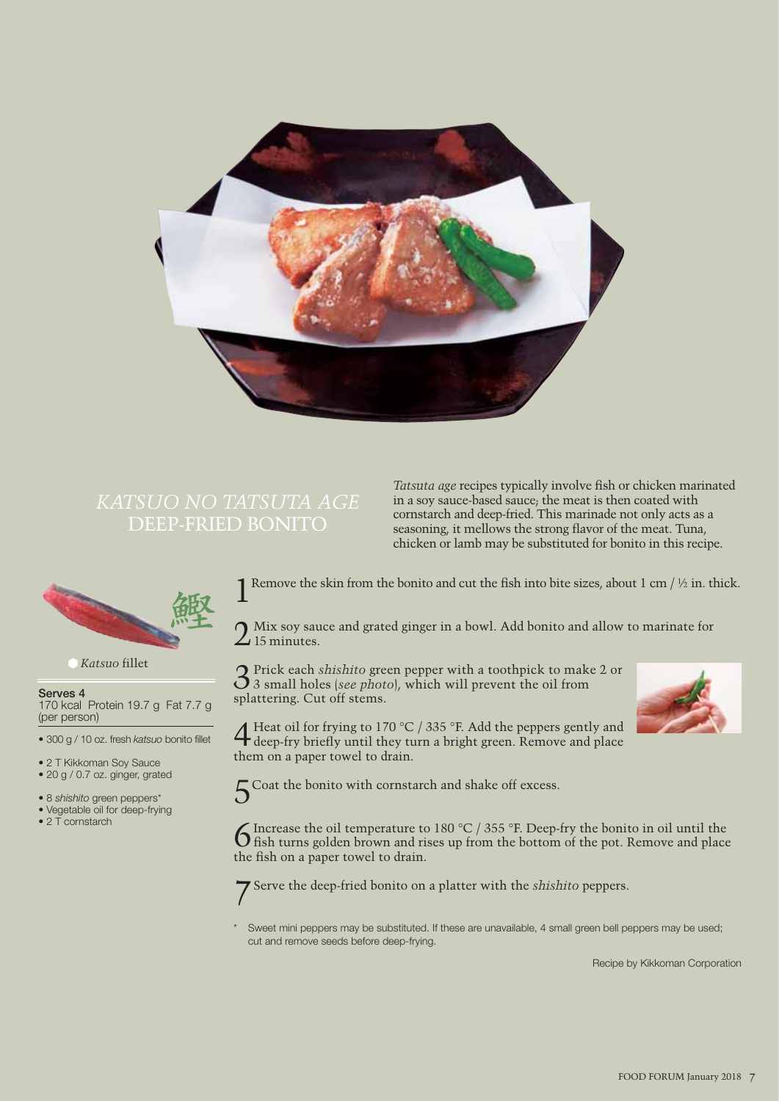

# DEEP-FRIED BONITO

Tatsuta age recipes typically involve fish or chicken marinated in a soy sauce-based sauce; the meat is then coated with cornstarch and deep-fried. This marinade not only acts as a seasoning, it mellows the strong flavor of the meat. Tuna, chicken or lamb may be substituted for bonito in this recipe.



*Katsuo* fillet

**Serves 4** 

170 kcal Protein 19.7 g Fat 7.7 g (per person)

• 300 g / 10 oz. fresh *katsuo* bonito fillet

• 2 T Kikkoman Soy Sauce

• 20 g / 0.7 oz. ginger, grated

• 8 *shishito* green peppers\*

- Vegetable oil for deep-frying
- 2 T cornstarch

Remove the skin from the bonito and cut the fish into bite sizes, about 1 cm /  $\frac{1}{2}$  in. thick.

Mix soy sauce and grated ginger in a bowl. Add bonito and allow to marinate for  $\mathcal{L}$  15 minutes.

3Prick each *shishito* green pepper with a toothpick to make 2 or 3 small holes (*see photo*), which will prevent the oil from splattering. Cut off stems.



 $\overline{4}$  Heat oil for frying to 170 °C / 335 °F. Add the peppers gently and deep-fry briefly until they turn a bright green. Remove and place them on a paper towel to drain.

 $5$  Coat the bonito with cornstarch and shake off excess.

C Increase the oil temperature to 180 °C / 355 °F. Deep-fry the bonito in oil until the fish turns golden brown and rises up from the bottom of the pot. Remove and place the fish on a paper towel to drain.

7Serve the deep-fried bonito on a platter with the *shishito* peppers.

Sweet mini peppers may be substituted. If these are unavailable, 4 small green bell peppers may be used; cut and remove seeds before deep-frying.

Recipe by Kikkoman Corporation